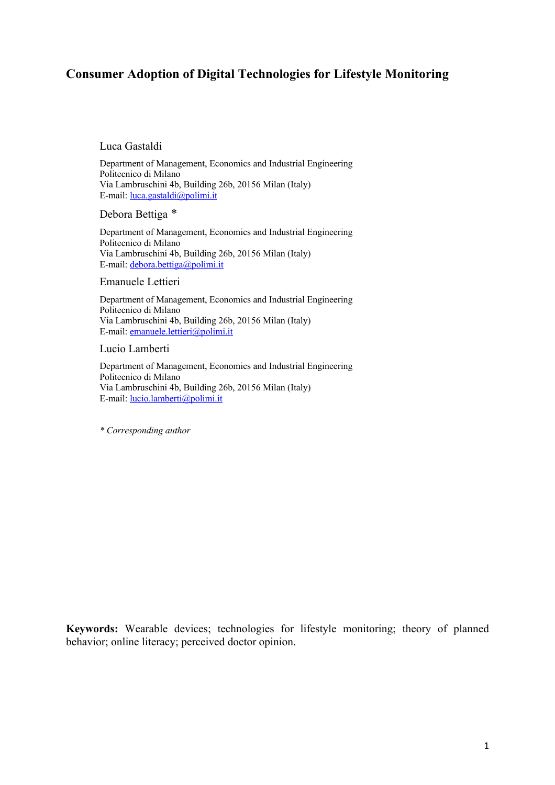# **Consumer Adoption of Digital Technologies for Lifestyle Monitoring**

#### Luca Gastaldi

Department of Management, Economics and Industrial Engineering Politecnico di Milano Via Lambruschini 4b, Building 26b, 20156 Milan (Italy) E-mail: luca.gastaldi@polimi.it

Debora Bettiga \*

Department of Management, Economics and Industrial Engineering Politecnico di Milano Via Lambruschini 4b, Building 26b, 20156 Milan (Italy) E-mail: debora.bettiga@polimi.it

#### Emanuele Lettieri

Department of Management, Economics and Industrial Engineering Politecnico di Milano Via Lambruschini 4b, Building 26b, 20156 Milan (Italy) E-mail: emanuele.lettieri@polimi.it

#### Lucio Lamberti

Department of Management, Economics and Industrial Engineering Politecnico di Milano Via Lambruschini 4b, Building 26b, 20156 Milan (Italy) E-mail: lucio.lamberti@polimi.it

*\* Corresponding author*

**Keywords:** Wearable devices; technologies for lifestyle monitoring; theory of planned behavior; online literacy; perceived doctor opinion.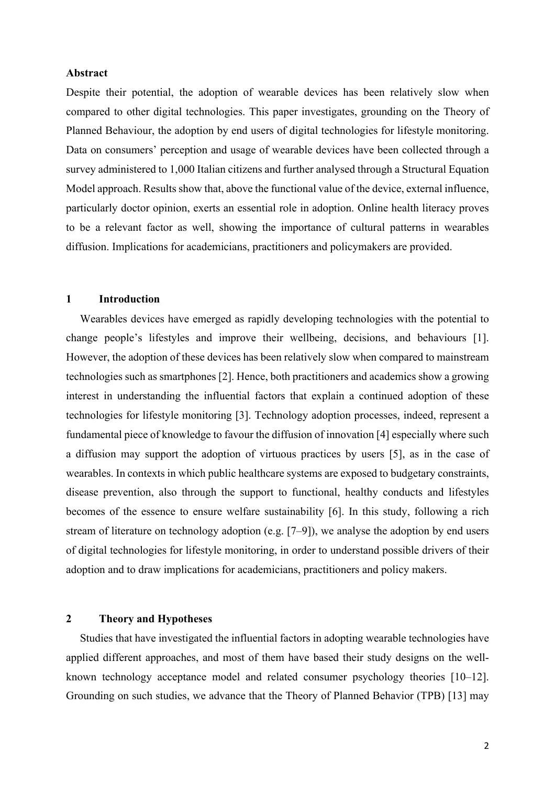## **Abstract**

Despite their potential, the adoption of wearable devices has been relatively slow when compared to other digital technologies. This paper investigates, grounding on the Theory of Planned Behaviour, the adoption by end users of digital technologies for lifestyle monitoring. Data on consumers' perception and usage of wearable devices have been collected through a survey administered to 1,000 Italian citizens and further analysed through a Structural Equation Model approach. Results show that, above the functional value of the device, external influence, particularly doctor opinion, exerts an essential role in adoption. Online health literacy proves to be a relevant factor as well, showing the importance of cultural patterns in wearables diffusion. Implications for academicians, practitioners and policymakers are provided.

#### **1 Introduction**

Wearables devices have emerged as rapidly developing technologies with the potential to change people's lifestyles and improve their wellbeing, decisions, and behaviours [1]. However, the adoption of these devices has been relatively slow when compared to mainstream technologies such as smartphones [2]. Hence, both practitioners and academics show a growing interest in understanding the influential factors that explain a continued adoption of these technologies for lifestyle monitoring [3]. Technology adoption processes, indeed, represent a fundamental piece of knowledge to favour the diffusion of innovation [4] especially where such a diffusion may support the adoption of virtuous practices by users [5], as in the case of wearables. In contexts in which public healthcare systems are exposed to budgetary constraints, disease prevention, also through the support to functional, healthy conducts and lifestyles becomes of the essence to ensure welfare sustainability [6]. In this study, following a rich stream of literature on technology adoption (e.g. [7–9]), we analyse the adoption by end users of digital technologies for lifestyle monitoring, in order to understand possible drivers of their adoption and to draw implications for academicians, practitioners and policy makers.

# **2 Theory and Hypotheses**

Studies that have investigated the influential factors in adopting wearable technologies have applied different approaches, and most of them have based their study designs on the wellknown technology acceptance model and related consumer psychology theories [10–12]. Grounding on such studies, we advance that the Theory of Planned Behavior (TPB) [13] may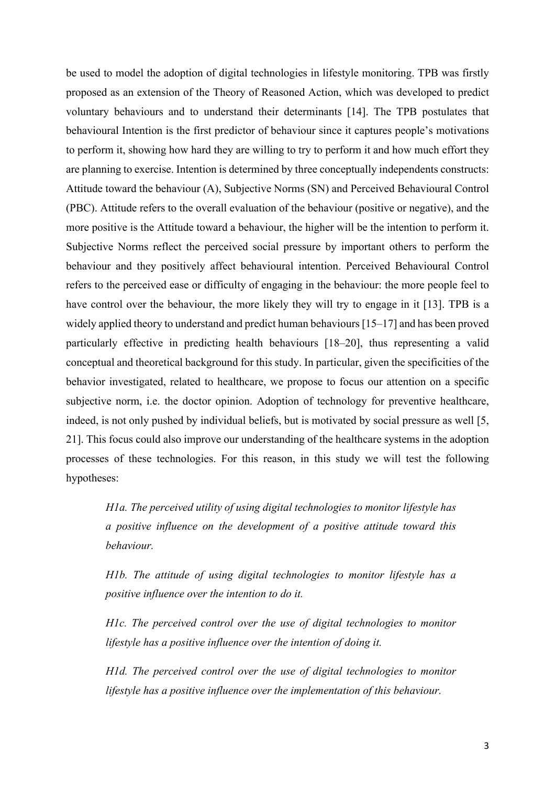be used to model the adoption of digital technologies in lifestyle monitoring. TPB was firstly proposed as an extension of the Theory of Reasoned Action, which was developed to predict voluntary behaviours and to understand their determinants [14]. The TPB postulates that behavioural Intention is the first predictor of behaviour since it captures people's motivations to perform it, showing how hard they are willing to try to perform it and how much effort they are planning to exercise. Intention is determined by three conceptually independents constructs: Attitude toward the behaviour (A), Subjective Norms (SN) and Perceived Behavioural Control (PBC). Attitude refers to the overall evaluation of the behaviour (positive or negative), and the more positive is the Attitude toward a behaviour, the higher will be the intention to perform it. Subjective Norms reflect the perceived social pressure by important others to perform the behaviour and they positively affect behavioural intention. Perceived Behavioural Control refers to the perceived ease or difficulty of engaging in the behaviour: the more people feel to have control over the behaviour, the more likely they will try to engage in it [13]. TPB is a widely applied theory to understand and predict human behaviours [15–17] and has been proved particularly effective in predicting health behaviours [18–20], thus representing a valid conceptual and theoretical background for this study. In particular, given the specificities of the behavior investigated, related to healthcare, we propose to focus our attention on a specific subjective norm, i.e. the doctor opinion. Adoption of technology for preventive healthcare, indeed, is not only pushed by individual beliefs, but is motivated by social pressure as well [5, 21]. This focus could also improve our understanding of the healthcare systems in the adoption processes of these technologies. For this reason, in this study we will test the following hypotheses:

*H1a. The perceived utility of using digital technologies to monitor lifestyle has a positive influence on the development of a positive attitude toward this behaviour.*

*H1b. The attitude of using digital technologies to monitor lifestyle has a positive influence over the intention to do it.*

*H1c. The perceived control over the use of digital technologies to monitor lifestyle has a positive influence over the intention of doing it.*

*H1d. The perceived control over the use of digital technologies to monitor lifestyle has a positive influence over the implementation of this behaviour.*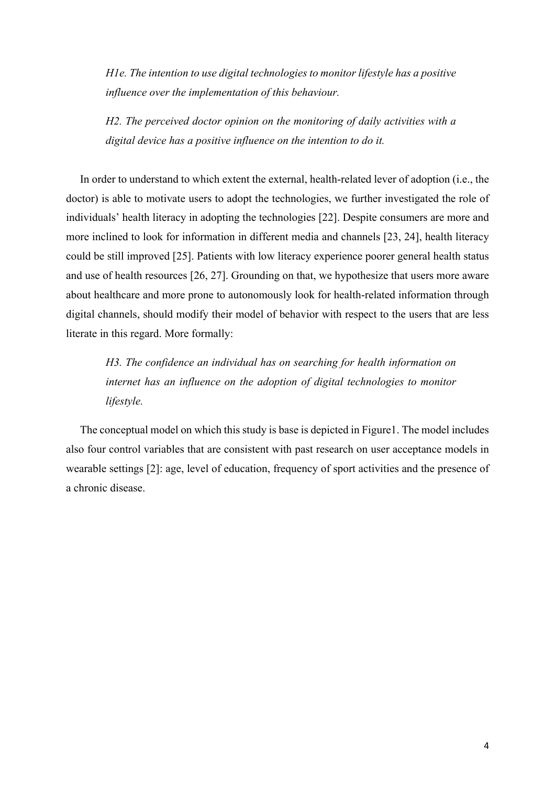*H1e. The intention to use digital technologies to monitor lifestyle has a positive influence over the implementation of this behaviour.*

*H2. The perceived doctor opinion on the monitoring of daily activities with a digital device has a positive influence on the intention to do it.*

In order to understand to which extent the external, health-related lever of adoption (i.e., the doctor) is able to motivate users to adopt the technologies, we further investigated the role of individuals' health literacy in adopting the technologies [22]. Despite consumers are more and more inclined to look for information in different media and channels [23, 24], health literacy could be still improved [25]. Patients with low literacy experience poorer general health status and use of health resources [26, 27]. Grounding on that, we hypothesize that users more aware about healthcare and more prone to autonomously look for health-related information through digital channels, should modify their model of behavior with respect to the users that are less literate in this regard. More formally:

*H3. The confidence an individual has on searching for health information on internet has an influence on the adoption of digital technologies to monitor lifestyle.*

The conceptual model on which this study is base is depicted in Figure1. The model includes also four control variables that are consistent with past research on user acceptance models in wearable settings [2]: age, level of education, frequency of sport activities and the presence of a chronic disease.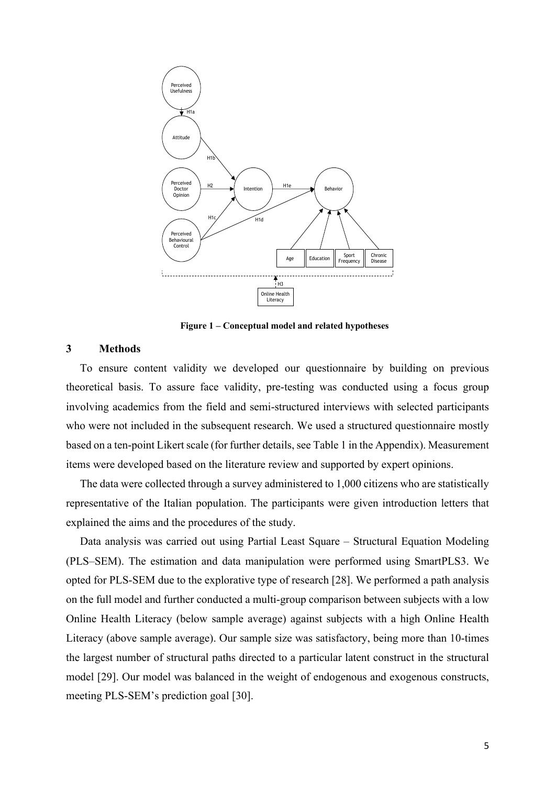

**Figure 1 – Conceptual model and related hypotheses**

# **3 Methods**

To ensure content validity we developed our questionnaire by building on previous theoretical basis. To assure face validity, pre-testing was conducted using a focus group involving academics from the field and semi-structured interviews with selected participants who were not included in the subsequent research. We used a structured questionnaire mostly based on a ten-point Likert scale (for further details, see Table 1 in the Appendix). Measurement items were developed based on the literature review and supported by expert opinions.

The data were collected through a survey administered to 1,000 citizens who are statistically representative of the Italian population. The participants were given introduction letters that explained the aims and the procedures of the study.

Data analysis was carried out using Partial Least Square – Structural Equation Modeling (PLS–SEM). The estimation and data manipulation were performed using SmartPLS3. We opted for PLS-SEM due to the explorative type of research [28]. We performed a path analysis on the full model and further conducted a multi-group comparison between subjects with a low Online Health Literacy (below sample average) against subjects with a high Online Health Literacy (above sample average). Our sample size was satisfactory, being more than 10-times the largest number of structural paths directed to a particular latent construct in the structural model [29]. Our model was balanced in the weight of endogenous and exogenous constructs, meeting PLS-SEM's prediction goal [30].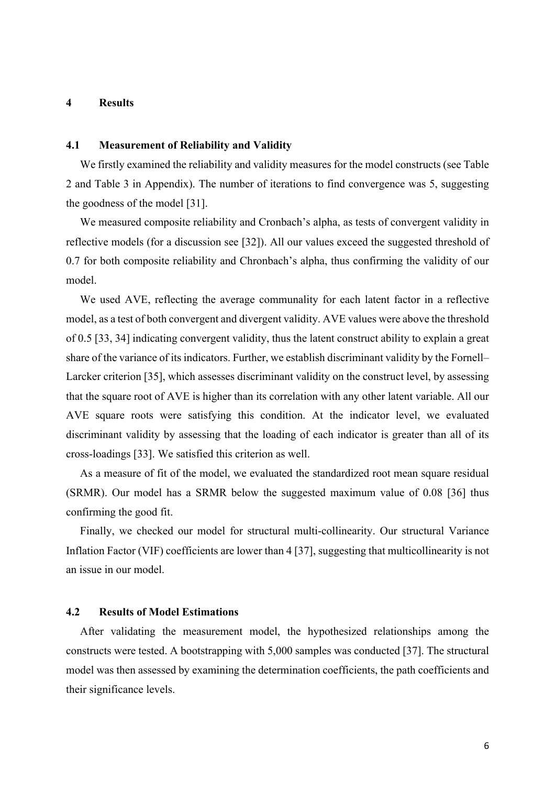### **4 Results**

## **4.1 Measurement of Reliability and Validity**

We firstly examined the reliability and validity measures for the model constructs (see Table 2 and Table 3 in Appendix). The number of iterations to find convergence was 5, suggesting the goodness of the model [31].

We measured composite reliability and Cronbach's alpha, as tests of convergent validity in reflective models (for a discussion see [32]). All our values exceed the suggested threshold of 0.7 for both composite reliability and Chronbach's alpha, thus confirming the validity of our model.

We used AVE, reflecting the average communality for each latent factor in a reflective model, as a test of both convergent and divergent validity. AVE values were above the threshold of 0.5 [33, 34] indicating convergent validity, thus the latent construct ability to explain a great share of the variance of its indicators. Further, we establish discriminant validity by the Fornell– Larcker criterion [35], which assesses discriminant validity on the construct level, by assessing that the square root of AVE is higher than its correlation with any other latent variable. All our AVE square roots were satisfying this condition. At the indicator level, we evaluated discriminant validity by assessing that the loading of each indicator is greater than all of its cross-loadings [33]. We satisfied this criterion as well.

As a measure of fit of the model, we evaluated the standardized root mean square residual (SRMR). Our model has a SRMR below the suggested maximum value of 0.08 [36] thus confirming the good fit.

Finally, we checked our model for structural multi-collinearity. Our structural Variance Inflation Factor (VIF) coefficients are lower than 4 [37], suggesting that multicollinearity is not an issue in our model.

# **4.2 Results of Model Estimations**

After validating the measurement model, the hypothesized relationships among the constructs were tested. A bootstrapping with 5,000 samples was conducted [37]. The structural model was then assessed by examining the determination coefficients, the path coefficients and their significance levels.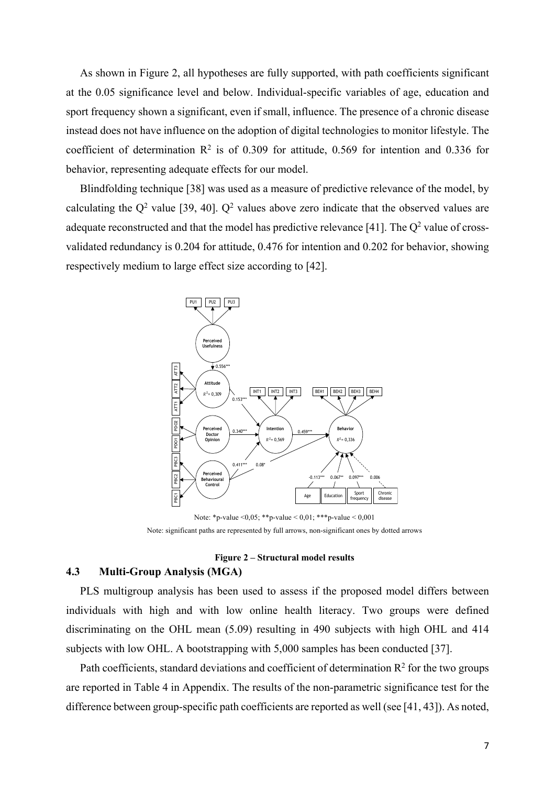As shown in Figure 2, all hypotheses are fully supported, with path coefficients significant at the 0.05 significance level and below. Individual-specific variables of age, education and sport frequency shown a significant, even if small, influence. The presence of a chronic disease instead does not have influence on the adoption of digital technologies to monitor lifestyle. The coefficient of determination  $\mathbb{R}^2$  is of 0.309 for attitude, 0.569 for intention and 0.336 for behavior, representing adequate effects for our model.

Blindfolding technique [38] was used as a measure of predictive relevance of the model, by calculating the  $Q^2$  value [39, 40].  $Q^2$  values above zero indicate that the observed values are adequate reconstructed and that the model has predictive relevance [41]. The  $Q^2$  value of crossvalidated redundancy is 0.204 for attitude, 0.476 for intention and 0.202 for behavior, showing respectively medium to large effect size according to [42].



Note: \*p-value <  $0.05$ ; \*\*p-value <  $0.01$ ; \*\*\*p-value <  $0.001$ Note: significant paths are represented by full arrows, non-significant ones by dotted arrows

## **Figure 2 – Structural model results**

# **4.3 Multi-Group Analysis (MGA)**

PLS multigroup analysis has been used to assess if the proposed model differs between individuals with high and with low online health literacy. Two groups were defined discriminating on the OHL mean (5.09) resulting in 490 subjects with high OHL and 414 subjects with low OHL. A bootstrapping with 5,000 samples has been conducted [37].

Path coefficients, standard deviations and coefficient of determination  $R^2$  for the two groups are reported in Table 4 in Appendix. The results of the non-parametric significance test for the difference between group-specific path coefficients are reported as well (see [41, 43]). As noted,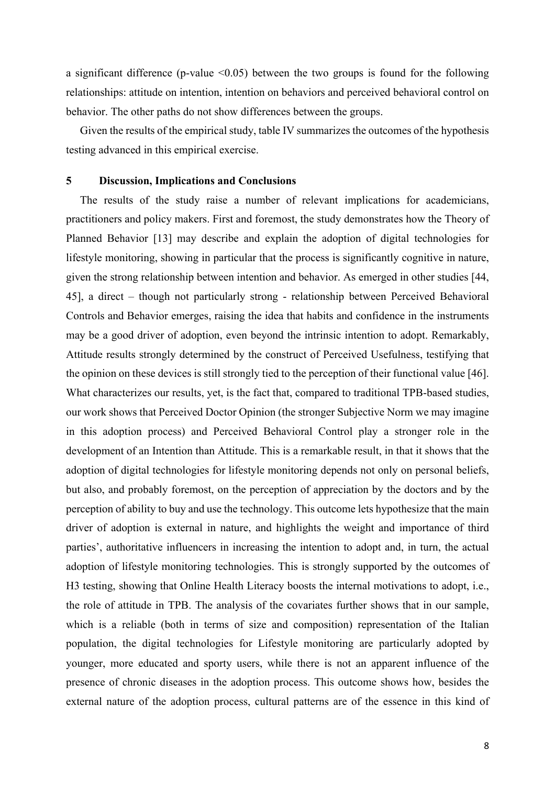a significant difference (p-value  $\leq 0.05$ ) between the two groups is found for the following relationships: attitude on intention, intention on behaviors and perceived behavioral control on behavior. The other paths do not show differences between the groups.

Given the results of the empirical study, table IV summarizes the outcomes of the hypothesis testing advanced in this empirical exercise.

## **5 Discussion, Implications and Conclusions**

The results of the study raise a number of relevant implications for academicians, practitioners and policy makers. First and foremost, the study demonstrates how the Theory of Planned Behavior [13] may describe and explain the adoption of digital technologies for lifestyle monitoring, showing in particular that the process is significantly cognitive in nature, given the strong relationship between intention and behavior. As emerged in other studies [44, 45], a direct – though not particularly strong - relationship between Perceived Behavioral Controls and Behavior emerges, raising the idea that habits and confidence in the instruments may be a good driver of adoption, even beyond the intrinsic intention to adopt. Remarkably, Attitude results strongly determined by the construct of Perceived Usefulness, testifying that the opinion on these devices is still strongly tied to the perception of their functional value [46]. What characterizes our results, yet, is the fact that, compared to traditional TPB-based studies, our work shows that Perceived Doctor Opinion (the stronger Subjective Norm we may imagine in this adoption process) and Perceived Behavioral Control play a stronger role in the development of an Intention than Attitude. This is a remarkable result, in that it shows that the adoption of digital technologies for lifestyle monitoring depends not only on personal beliefs, but also, and probably foremost, on the perception of appreciation by the doctors and by the perception of ability to buy and use the technology. This outcome lets hypothesize that the main driver of adoption is external in nature, and highlights the weight and importance of third parties', authoritative influencers in increasing the intention to adopt and, in turn, the actual adoption of lifestyle monitoring technologies. This is strongly supported by the outcomes of H3 testing, showing that Online Health Literacy boosts the internal motivations to adopt, i.e., the role of attitude in TPB. The analysis of the covariates further shows that in our sample, which is a reliable (both in terms of size and composition) representation of the Italian population, the digital technologies for Lifestyle monitoring are particularly adopted by younger, more educated and sporty users, while there is not an apparent influence of the presence of chronic diseases in the adoption process. This outcome shows how, besides the external nature of the adoption process, cultural patterns are of the essence in this kind of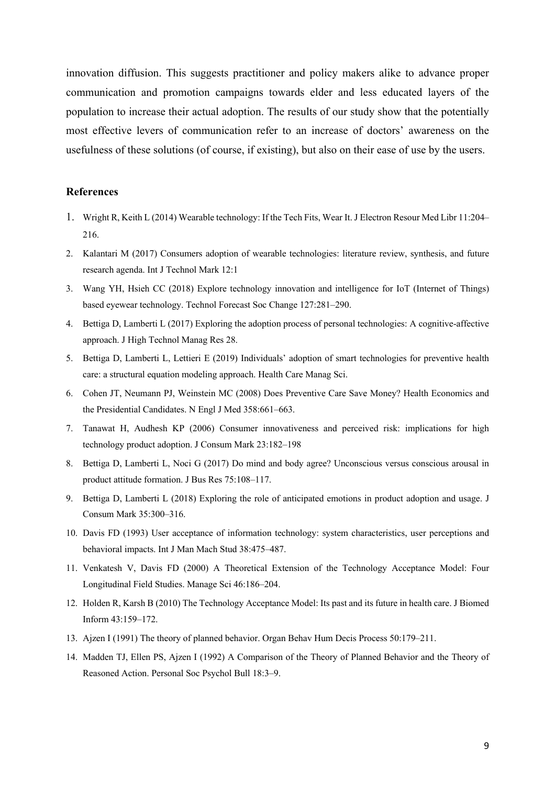innovation diffusion. This suggests practitioner and policy makers alike to advance proper communication and promotion campaigns towards elder and less educated layers of the population to increase their actual adoption. The results of our study show that the potentially most effective levers of communication refer to an increase of doctors' awareness on the usefulness of these solutions (of course, if existing), but also on their ease of use by the users.

# **References**

- 1. Wright R, Keith L (2014) Wearable technology: If the Tech Fits, Wear It. J Electron Resour Med Libr 11:204– 216.
- 2. Kalantari M (2017) Consumers adoption of wearable technologies: literature review, synthesis, and future research agenda. Int J Technol Mark 12:1
- 3. Wang YH, Hsieh CC (2018) Explore technology innovation and intelligence for IoT (Internet of Things) based eyewear technology. Technol Forecast Soc Change 127:281–290.
- 4. Bettiga D, Lamberti L (2017) Exploring the adoption process of personal technologies: A cognitive-affective approach. J High Technol Manag Res 28.
- 5. Bettiga D, Lamberti L, Lettieri E (2019) Individuals' adoption of smart technologies for preventive health care: a structural equation modeling approach. Health Care Manag Sci.
- 6. Cohen JT, Neumann PJ, Weinstein MC (2008) Does Preventive Care Save Money? Health Economics and the Presidential Candidates. N Engl J Med 358:661–663.
- 7. Tanawat H, Audhesh KP (2006) Consumer innovativeness and perceived risk: implications for high technology product adoption. J Consum Mark 23:182–198
- 8. Bettiga D, Lamberti L, Noci G (2017) Do mind and body agree? Unconscious versus conscious arousal in product attitude formation. J Bus Res 75:108–117.
- 9. Bettiga D, Lamberti L (2018) Exploring the role of anticipated emotions in product adoption and usage. J Consum Mark 35:300–316.
- 10. Davis FD (1993) User acceptance of information technology: system characteristics, user perceptions and behavioral impacts. Int J Man Mach Stud 38:475–487.
- 11. Venkatesh V, Davis FD (2000) A Theoretical Extension of the Technology Acceptance Model: Four Longitudinal Field Studies. Manage Sci 46:186–204.
- 12. Holden R, Karsh B (2010) The Technology Acceptance Model: Its past and its future in health care. J Biomed Inform 43:159–172.
- 13. Ajzen I (1991) The theory of planned behavior. Organ Behav Hum Decis Process 50:179–211.
- 14. Madden TJ, Ellen PS, Ajzen I (1992) A Comparison of the Theory of Planned Behavior and the Theory of Reasoned Action. Personal Soc Psychol Bull 18:3–9.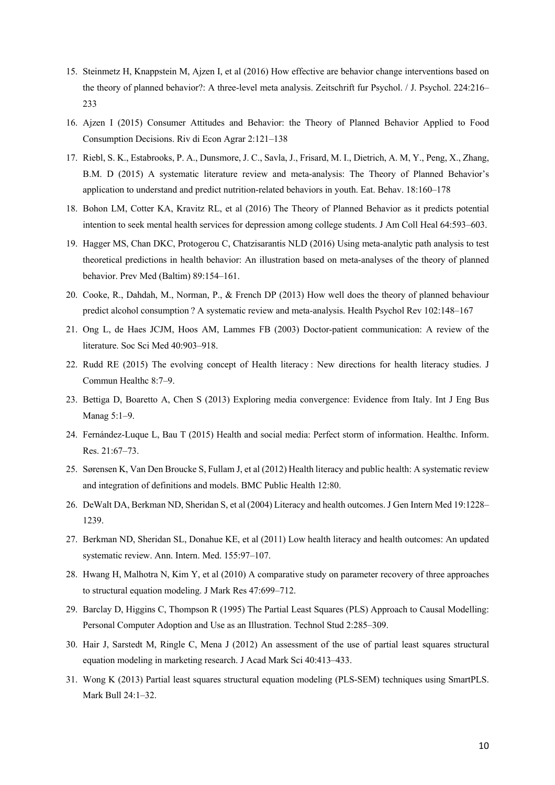- 15. Steinmetz H, Knappstein M, Ajzen I, et al (2016) How effective are behavior change interventions based on the theory of planned behavior?: A three-level meta analysis. Zeitschrift fur Psychol. / J. Psychol. 224:216– 233
- 16. Ajzen I (2015) Consumer Attitudes and Behavior: the Theory of Planned Behavior Applied to Food Consumption Decisions. Riv di Econ Agrar 2:121–138
- 17. Riebl, S. K., Estabrooks, P. A., Dunsmore, J. C., Savla, J., Frisard, M. I., Dietrich, A. M, Y., Peng, X., Zhang, B.M. D (2015) A systematic literature review and meta-analysis: The Theory of Planned Behavior's application to understand and predict nutrition-related behaviors in youth. Eat. Behav. 18:160–178
- 18. Bohon LM, Cotter KA, Kravitz RL, et al (2016) The Theory of Planned Behavior as it predicts potential intention to seek mental health services for depression among college students. J Am Coll Heal 64:593–603.
- 19. Hagger MS, Chan DKC, Protogerou C, Chatzisarantis NLD (2016) Using meta-analytic path analysis to test theoretical predictions in health behavior: An illustration based on meta-analyses of the theory of planned behavior. Prev Med (Baltim) 89:154–161.
- 20. Cooke, R., Dahdah, M., Norman, P., & French DP (2013) How well does the theory of planned behaviour predict alcohol consumption ? A systematic review and meta-analysis. Health Psychol Rev 102:148–167
- 21. Ong L, de Haes JCJM, Hoos AM, Lammes FB (2003) Doctor-patient communication: A review of the literature. Soc Sci Med 40:903–918.
- 22. Rudd RE (2015) The evolving concept of Health literacy : New directions for health literacy studies. J Commun Healthc 8:7–9.
- 23. Bettiga D, Boaretto A, Chen S (2013) Exploring media convergence: Evidence from Italy. Int J Eng Bus Manag 5:1–9.
- 24. Fernández-Luque L, Bau T (2015) Health and social media: Perfect storm of information. Healthc. Inform. Res. 21:67–73.
- 25. Sørensen K, Van Den Broucke S, Fullam J, et al (2012) Health literacy and public health: A systematic review and integration of definitions and models. BMC Public Health 12:80.
- 26. DeWalt DA, Berkman ND, Sheridan S, et al (2004) Literacy and health outcomes. J Gen Intern Med 19:1228– 1239.
- 27. Berkman ND, Sheridan SL, Donahue KE, et al (2011) Low health literacy and health outcomes: An updated systematic review. Ann. Intern. Med. 155:97–107.
- 28. Hwang H, Malhotra N, Kim Y, et al (2010) A comparative study on parameter recovery of three approaches to structural equation modeling. J Mark Res 47:699–712.
- 29. Barclay D, Higgins C, Thompson R (1995) The Partial Least Squares (PLS) Approach to Causal Modelling: Personal Computer Adoption and Use as an Illustration. Technol Stud 2:285–309.
- 30. Hair J, Sarstedt M, Ringle C, Mena J (2012) An assessment of the use of partial least squares structural equation modeling in marketing research. J Acad Mark Sci 40:413–433.
- 31. Wong K (2013) Partial least squares structural equation modeling (PLS-SEM) techniques using SmartPLS. Mark Bull 24:1–32.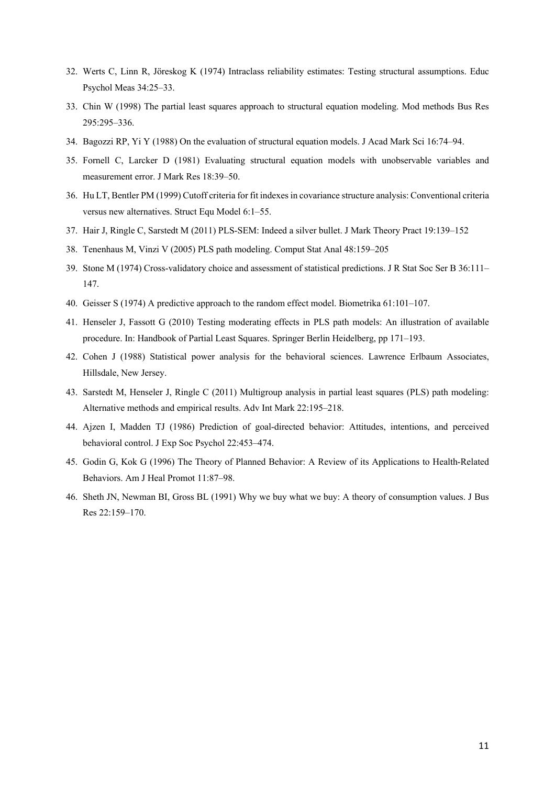- 32. Werts C, Linn R, Jöreskog K (1974) Intraclass reliability estimates: Testing structural assumptions. Educ Psychol Meas 34:25–33.
- 33. Chin W (1998) The partial least squares approach to structural equation modeling. Mod methods Bus Res 295:295–336.
- 34. Bagozzi RP, Yi Y (1988) On the evaluation of structural equation models. J Acad Mark Sci 16:74–94.
- 35. Fornell C, Larcker D (1981) Evaluating structural equation models with unobservable variables and measurement error. J Mark Res 18:39–50.
- 36. Hu LT, Bentler PM (1999) Cutoff criteria for fit indexes in covariance structure analysis: Conventional criteria versus new alternatives. Struct Equ Model 6:1–55.
- 37. Hair J, Ringle C, Sarstedt M (2011) PLS-SEM: Indeed a silver bullet. J Mark Theory Pract 19:139–152
- 38. Tenenhaus M, Vinzi V (2005) PLS path modeling. Comput Stat Anal 48:159–205
- 39. Stone M (1974) Cross-validatory choice and assessment of statistical predictions. J R Stat Soc Ser B 36:111– 147.
- 40. Geisser S (1974) A predictive approach to the random effect model. Biometrika 61:101–107.
- 41. Henseler J, Fassott G (2010) Testing moderating effects in PLS path models: An illustration of available procedure. In: Handbook of Partial Least Squares. Springer Berlin Heidelberg, pp 171–193.
- 42. Cohen J (1988) Statistical power analysis for the behavioral sciences. Lawrence Erlbaum Associates, Hillsdale, New Jersey.
- 43. Sarstedt M, Henseler J, Ringle C (2011) Multigroup analysis in partial least squares (PLS) path modeling: Alternative methods and empirical results. Adv Int Mark 22:195–218.
- 44. Ajzen I, Madden TJ (1986) Prediction of goal-directed behavior: Attitudes, intentions, and perceived behavioral control. J Exp Soc Psychol 22:453–474.
- 45. Godin G, Kok G (1996) The Theory of Planned Behavior: A Review of its Applications to Health-Related Behaviors. Am J Heal Promot 11:87–98.
- 46. Sheth JN, Newman BI, Gross BL (1991) Why we buy what we buy: A theory of consumption values. J Bus Res 22:159–170.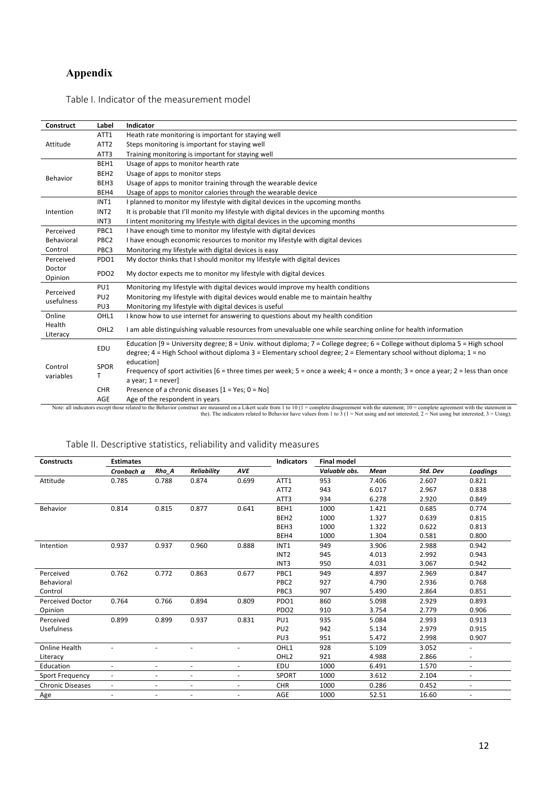# **Appendix**

|  | Table I. Indicator of the measurement model |  |
|--|---------------------------------------------|--|
|--|---------------------------------------------|--|

| Construct          | Label            | Indicator                                                                                                                               |
|--------------------|------------------|-----------------------------------------------------------------------------------------------------------------------------------------|
|                    | ATT1             | Heath rate monitoring is important for staying well                                                                                     |
| Attitude           | ATT <sub>2</sub> | Steps monitoring is important for staying well                                                                                          |
|                    | ATT3             | Training monitoring is important for staying well                                                                                       |
|                    | BEH1             | Usage of apps to monitor hearth rate                                                                                                    |
| Behavior           | BEH <sub>2</sub> | Usage of apps to monitor steps                                                                                                          |
|                    | BEH3             | Usage of apps to monitor training through the wearable device                                                                           |
|                    | BEH4             | Usage of apps to monitor calories through the wearable device                                                                           |
|                    | INT <sub>1</sub> | I planned to monitor my lifestyle with digital devices in the upcoming months                                                           |
| Intention          | INT <sub>2</sub> | It is probable that I'll monito my lifestyle with digital devices in the upcoming months                                                |
|                    | INT <sub>3</sub> | I intent monitoring my lifestyle with digital devices in the upcoming months                                                            |
| Perceived          | PBC1             | I have enough time to monitor my lifestyle with digital devices                                                                         |
| Behavioral         | PBC <sub>2</sub> | I have enough economic resources to monitor my lifestyle with digital devices                                                           |
| Control            | PBC3             | Monitoring my lifestyle with digital devices is easy                                                                                    |
| Perceived          | PDO1             | My doctor thinks that I should monitor my lifestyle with digital devices                                                                |
| Doctor             | PDO <sub>2</sub> | My doctor expects me to monitor my lifestyle with digital devices                                                                       |
| Opinion            |                  |                                                                                                                                         |
| Perceived          | PU1              | Monitoring my lifestyle with digital devices would improve my health conditions                                                         |
| usefulness         | PU <sub>2</sub>  | Monitoring my lifestyle with digital devices would enable me to maintain healthy                                                        |
|                    | PU3              | Monitoring my lifestyle with digital devices is useful                                                                                  |
| Online             | OHL1             | I know how to use internet for answering to questions about my health condition                                                         |
| Health<br>Literacy | OHL <sub>2</sub> | I am able distinguishing valuable resources from unevaluable one while searching online for health information                          |
|                    |                  | Education [9 = University degree; 8 = Univ. without diploma; 7 = College degree; 6 = College without diploma 5 = High school            |
| Control            | EDU              | degree; 4 = High School without diploma 3 = Elementary school degree; 2 = Elementary school without diploma; 1 = no                     |
|                    |                  | education]                                                                                                                              |
|                    | <b>SPOR</b>      | Frequency of sport activities [6 = three times per week; $5 =$ once a week; $4 =$ once a month; $3 =$ once a year; $2 =$ less than once |
| variables          |                  | a year; $1 = never$ ]                                                                                                                   |
|                    | CHR              | Presence of a chronic diseases $[1 = Yes; 0 = No]$                                                                                      |
|                    | AGE              | Age of the respondent in years                                                                                                          |

AGE Age of the respondent in years<br>Note: all indicators except those related to the Behavior construct are measured on a Likert scale from 1 to 10 (1 = complete disagreement with the statement; 10 = complete agreement wit

# Table II. Descriptive statistics, reliability and validity measures

| <b>Constructs</b>       | <b>Estimates</b>  |                          |                          |                | <b>Indicators</b> | <b>Final model</b> |       |          |                          |
|-------------------------|-------------------|--------------------------|--------------------------|----------------|-------------------|--------------------|-------|----------|--------------------------|
|                         | Cronbach $\alpha$ | Rho A                    | <b>Reliability</b>       | <b>AVE</b>     |                   | Valuable obs.      | Mean  | Std. Dev | Loadings                 |
| Attitude                | 0.785             | 0.788                    | 0.874                    | 0.699          | ATT1              | 953                | 7.406 | 2.607    | 0.821                    |
|                         |                   |                          |                          |                | ATT <sub>2</sub>  | 943                | 6.017 | 2.967    | 0.838                    |
|                         |                   |                          |                          |                | ATT3              | 934                | 6.278 | 2.920    | 0.849                    |
| <b>Behavior</b>         | 0.814             | 0.815                    | 0.877                    | 0.641          | BEH1              | 1000               | 1.421 | 0.685    | 0.774                    |
|                         |                   |                          |                          |                | BEH <sub>2</sub>  | 1000               | 1.327 | 0.639    | 0.815                    |
|                         |                   |                          |                          |                | BEH3              | 1000               | 1.322 | 0.622    | 0.813                    |
|                         |                   |                          |                          |                | BEH4              | 1000               | 1.304 | 0.581    | 0.800                    |
| Intention               | 0.937             | 0.937                    | 0.960                    | 0.888          | INT <sub>1</sub>  | 949                | 3.906 | 2.988    | 0.942                    |
|                         |                   |                          |                          |                | INT <sub>2</sub>  | 945                | 4.013 | 2.992    | 0.943                    |
|                         |                   |                          |                          |                | INT3              | 950                | 4.031 | 3.067    | 0.942                    |
| Perceived               | 0.762             | 0.772                    | 0.863                    | 0.677          | PBC1              | 949                | 4.897 | 2.969    | 0.847                    |
| Behavioral              |                   |                          |                          |                | PBC <sub>2</sub>  | 927                | 4.790 | 2.936    | 0.768                    |
| Control                 |                   |                          |                          |                | PBC3              | 907                | 5.490 | 2.864    | 0.851                    |
| <b>Perceived Doctor</b> | 0.764             | 0.766                    | 0.894                    | 0.809          | PDO1              | 860                | 5.098 | 2.929    | 0.893                    |
| Opinion                 |                   |                          |                          |                | PDO <sub>2</sub>  | 910                | 3.754 | 2.779    | 0.906                    |
| Perceived               | 0.899             | 0.899                    | 0.937                    | 0.831          | PU1               | 935                | 5.084 | 2.993    | 0.913                    |
| <b>Usefulness</b>       |                   |                          |                          |                | PU <sub>2</sub>   | 942                | 5.134 | 2.979    | 0.915                    |
|                         |                   |                          |                          |                | PU <sub>3</sub>   | 951                | 5.472 | 2.998    | 0.907                    |
| Online Health           |                   |                          |                          |                | OHL1              | 928                | 5.109 | 3.052    | $\overline{\phantom{a}}$ |
| Literacy                |                   |                          |                          |                | OHL <sub>2</sub>  | 921                | 4.988 | 2.866    |                          |
| Education               | $\equiv$          | ÷                        | $\overline{\phantom{a}}$ | $\blacksquare$ | EDU               | 1000               | 6.491 | 1.570    | $\overline{\phantom{a}}$ |
| <b>Sport Frequency</b>  | $\blacksquare$    | $\overline{\phantom{a}}$ | $\overline{\phantom{a}}$ | $\blacksquare$ | <b>SPORT</b>      | 1000               | 3.612 | 2.104    | $\overline{\phantom{a}}$ |
| <b>Chronic Diseases</b> | $\blacksquare$    | $\blacksquare$           | $\overline{\phantom{a}}$ | $\blacksquare$ | <b>CHR</b>        | 1000               | 0.286 | 0.452    | $\blacksquare$           |
| Age                     | $\blacksquare$    | $\overline{\phantom{a}}$ | $\overline{\phantom{a}}$ | $\blacksquare$ | AGE               | 1000               | 52.51 | 16.60    | $\overline{\phantom{a}}$ |